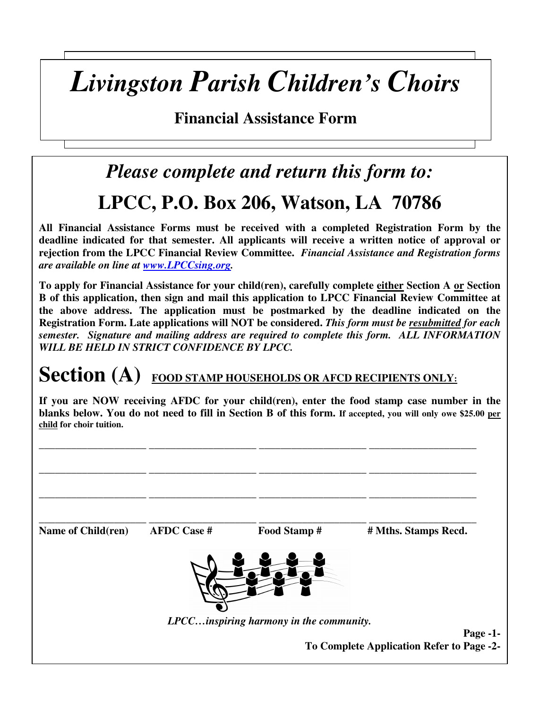## *Livingston Parish Children's Choirs*

**Financial Assistance Form** 

## *Please complete and return this form to:*  **LPCC, P.O. Box 206, Watson, LA 70786**

**All Financial Assistance Forms must be received with a completed Registration Form by the deadline indicated for that semester. All applicants will receive a written notice of approval or rejection from the LPCC Financial Review Committee.** *Financial Assistance and Registration forms are available on line at www.LPCCsing.org.* 

**To apply for Financial Assistance for your child(ren), carefully complete either Section A or Section B of this application, then sign and mail this application to LPCC Financial Review Committee at the above address. The application must be postmarked by the deadline indicated on the Registration Form. Late applications will NOT be considered.** *This form must be resubmitted for each semester. Signature and mailing address are required to complete this form. ALL INFORMATION WILL BE HELD IN STRICT CONFIDENCE BY LPCC.* 

## Section (A) **FOOD STAMP HOUSEHOLDS OR AFCD RECIPIENTS ONLY**:

**If you are NOW receiving AFDC for your child(ren), enter the food stamp case number in the blanks below. You do not need to fill in Section B of this form. If accepted, you will only owe \$25.00 per child for choir tuition.**